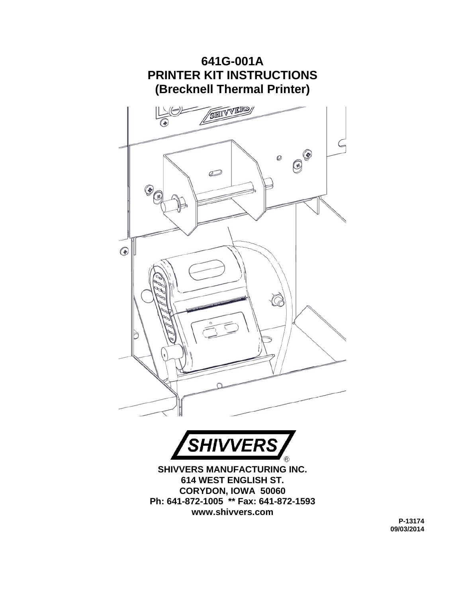



**SHIVVERS MANUFACTURING INC. 614 WEST ENGLISH ST. CORYDON, IOWA 50060 Ph: 641-872-1005 \*\* Fax: 641-872-1593 www.shivvers.com** 

> **P-13174 09/03/2014**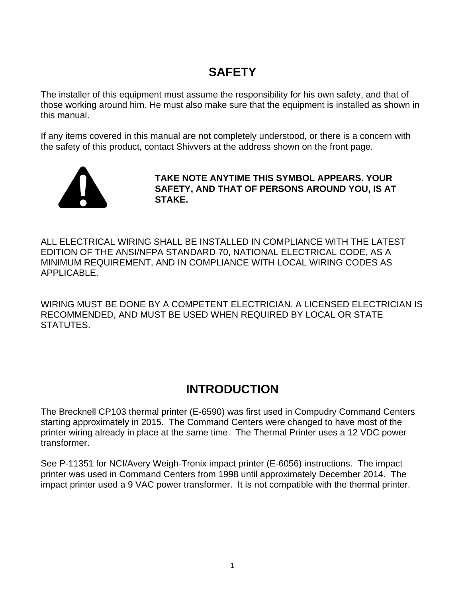#### **SAFETY**

The installer of this equipment must assume the responsibility for his own safety, and that of those working around him. He must also make sure that the equipment is installed as shown in this manual.

If any items covered in this manual are not completely understood, or there is a concern with the safety of this product, contact Shivvers at the address shown on the front page.



**TAKE NOTE ANYTIME THIS SYMBOL APPEARS. YOUR SAFETY, AND THAT OF PERSONS AROUND YOU, IS AT STAKE.**

ALL ELECTRICAL WIRING SHALL BE INSTALLED IN COMPLIANCE WITH THE LATEST EDITION OF THE ANSI/NFPA STANDARD 70, NATIONAL ELECTRICAL CODE, AS A MINIMUM REQUIREMENT, AND IN COMPLIANCE WITH LOCAL WIRING CODES AS APPLICABLE.

WIRING MUST BE DONE BY A COMPETENT ELECTRICIAN. A LICENSED ELECTRICIAN IS RECOMMENDED, AND MUST BE USED WHEN REQUIRED BY LOCAL OR STATE STATUTES.

#### **INTRODUCTION**

The Brecknell CP103 thermal printer (E-6590) was first used in Compudry Command Centers starting approximately in 2015. The Command Centers were changed to have most of the printer wiring already in place at the same time. The Thermal Printer uses a 12 VDC power transformer.

See P-11351 for NCI/Avery Weigh-Tronix impact printer (E-6056) instructions. The impact printer was used in Command Centers from 1998 until approximately December 2014. The impact printer used a 9 VAC power transformer. It is not compatible with the thermal printer.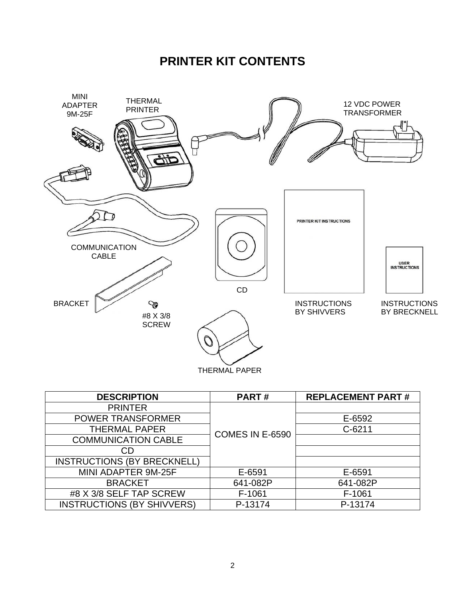#### **PRINTER KIT CONTENTS**



| <b>DESCRIPTION</b>                | <b>PART#</b>    | <b>REPLACEMENT PART#</b> |
|-----------------------------------|-----------------|--------------------------|
| <b>PRINTER</b>                    |                 |                          |
| <b>POWER TRANSFORMER</b>          | COMES IN E-6590 | E-6592                   |
| <b>THERMAL PAPER</b>              |                 | $C-6211$                 |
| <b>COMMUNICATION CABLE</b>        |                 |                          |
| CD                                |                 |                          |
| INSTRUCTIONS (BY BRECKNELL)       |                 |                          |
| MINI ADAPTER 9M-25F               | E-6591          | E-6591                   |
| <b>BRACKET</b>                    | 641-082P        | 641-082P                 |
| #8 X 3/8 SELF TAP SCREW           | F-1061          | F-1061                   |
| <b>INSTRUCTIONS (BY SHIVVERS)</b> | P-13174         | P-13174                  |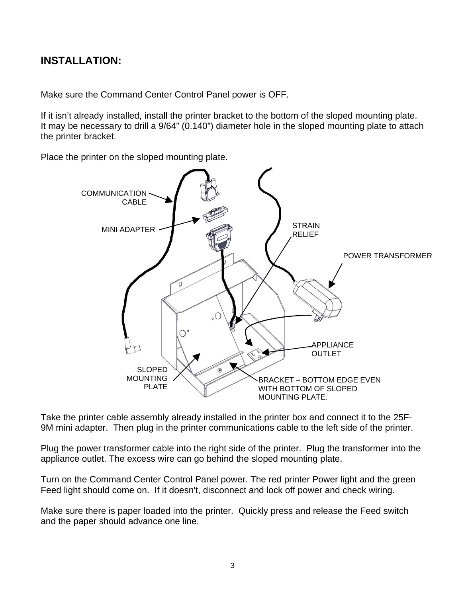#### **INSTALLATION:**

Make sure the Command Center Control Panel power is OFF.

If it isn't already installed, install the printer bracket to the bottom of the sloped mounting plate. It may be necessary to drill a 9/64" (0.140") diameter hole in the sloped mounting plate to attach the printer bracket.

Place the printer on the sloped mounting plate.



Take the printer cable assembly already installed in the printer box and connect it to the 25F-9M mini adapter. Then plug in the printer communications cable to the left side of the printer.

Plug the power transformer cable into the right side of the printer. Plug the transformer into the appliance outlet. The excess wire can go behind the sloped mounting plate.

Turn on the Command Center Control Panel power. The red printer Power light and the green Feed light should come on. If it doesn't, disconnect and lock off power and check wiring.

Make sure there is paper loaded into the printer. Quickly press and release the Feed switch and the paper should advance one line.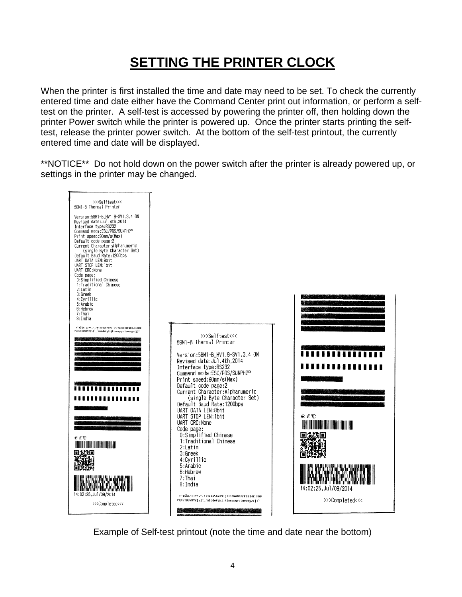# **SETTING THE PRINTER CLOCK**

When the printer is first installed the time and date may need to be set. To check the currently entered time and date either have the Command Center print out information, or perform a selftest on the printer. A self-test is accessed by powering the printer off, then holding down the printer Power switch while the printer is powered up. Once the printer starts printing the selftest, release the printer power switch. At the bottom of the self-test printout, the currently entered time and date will be displayed.

\*\*NOTICE\*\* Do not hold down on the power switch after the printer is already powered up, or settings in the printer may be changed.



Example of Self-test printout (note the time and date near the bottom)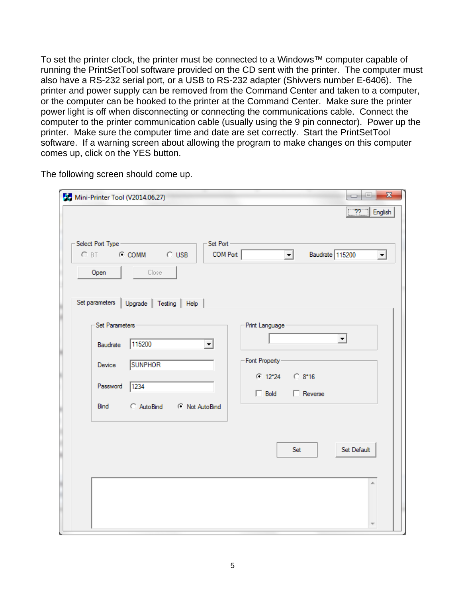To set the printer clock, the printer must be connected to a Windows™ computer capable of running the PrintSetTool software provided on the CD sent with the printer. The computer must also have a RS-232 serial port, or a USB to RS-232 adapter (Shivvers number E-6406). The printer and power supply can be removed from the Command Center and taken to a computer, or the computer can be hooked to the printer at the Command Center. Make sure the printer power light is off when disconnecting or connecting the communications cable. Connect the computer to the printer communication cable (usually using the 9 pin connector). Power up the printer. Make sure the computer time and date are set correctly. Start the PrintSetTool software. If a warning screen about allowing the program to make changes on this computer comes up, click on the YES button.

The following screen should come up.

| Mini-Printer Tool (V2014.06.27)                                                                                                  | $\mathbf{x}$<br>o<br>O.<br>$\boxed{77}$ English                                                         |
|----------------------------------------------------------------------------------------------------------------------------------|---------------------------------------------------------------------------------------------------------|
| Set Port-<br>Select Port Type -<br>C BT C COMM C USB<br>COM Port<br>Open<br>Close<br>Set parameters<br>Upgrade   Testing   Help  | Baudrate 115200<br>$\vert$<br>ᅬ                                                                         |
| Set Parameters -<br>115200<br>Baudrate<br>▾<br><b>SUNPHOR</b><br>Device<br>Password<br>1234<br>C AutoBind C Not AutoBind<br>Bind | Print Language -<br>$\vert$<br>- Font Property -<br>$C$ 12*24 $C$ 8*16<br>$\Box$ Reverse<br>$\Box$ Bold |
|                                                                                                                                  | Set Default<br>Set<br>×.                                                                                |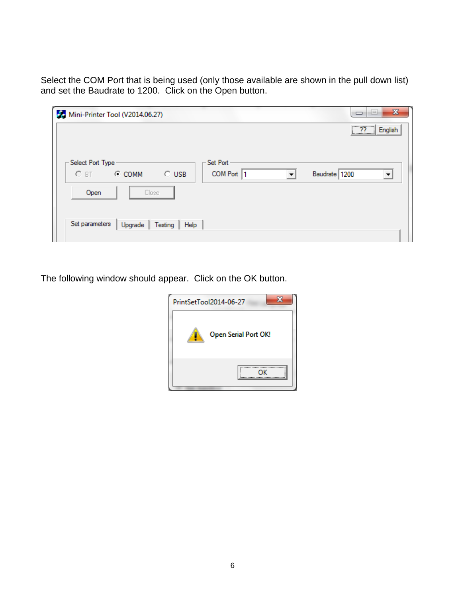Select the COM Port that is being used (only those available are shown in the pull down list) and set the Baudrate to 1200. Click on the Open button.

| $H_{\rm eff}$<br>Mini-Printer Tool (V2014.06.27)                            | $\mathbf{x}$<br>H.<br>$\Box$    |
|-----------------------------------------------------------------------------|---------------------------------|
|                                                                             | $\lceil n \rceil$<br>English    |
|                                                                             |                                 |
| Set Port<br>Select Port Type                                                |                                 |
| COM Port 1<br>$\circ$ usb<br>$O$ BT<br>$C$ COMM<br>$\overline{\phantom{a}}$ | Baudrate 1200<br>$\overline{ }$ |
| Close<br>Open                                                               |                                 |
| Set parameters<br>Upgrade<br>Testing<br>Help                                |                                 |
|                                                                             |                                 |

The following window should appear. Click on the OK button.

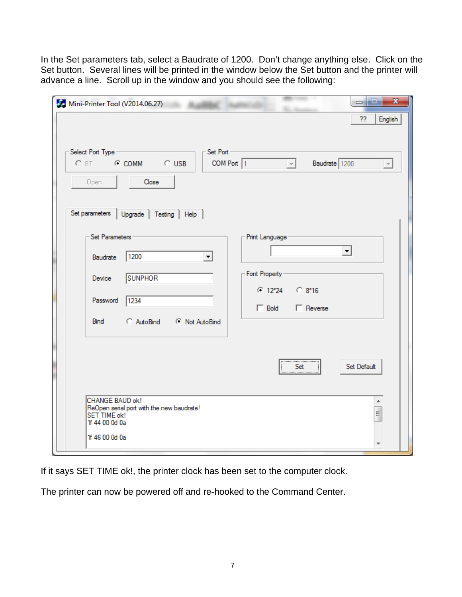In the Set parameters tab, select a Baudrate of 1200. Don't change anything else. Click on the Set button. Several lines will be printed in the window below the Set button and the printer will advance a line. Scroll up in the window and you should see the following:

| Mini-Printer Tool (V2014.06.27)                                                                                                  | $\mathbf{x}$<br>$=$ $\frac{1}{2}$<br>English<br>??                                                             |
|----------------------------------------------------------------------------------------------------------------------------------|----------------------------------------------------------------------------------------------------------------|
| -Set Port -<br>Select Port Type<br>C BT C COMM C USB<br>Close<br>Open<br>Set parameters<br>Upgrade   Testing   Help              | COM Port 1<br>Baudrate 1200<br>$\vert - \vert$<br>$\overline{\mathbf{v}}$                                      |
| Set Parameters -<br>1200<br>Baudrate<br>▾╎<br><b>SUNPHOR</b><br>Device<br>Password<br>1234<br>AutoBind<br>C Not AutoBind<br>Bind | Print Language<br>$\blacktriangledown$<br>Font Property<br>$C$ 12°24 $C$ 8°16<br>$\Box$ Reverse<br>$\Box$ Bold |
| CHANGE BAUD ok!<br>ReOpen serial port with the new baudrate!<br><b>SET TIME ok!</b><br>1f 44 00 0d 0a<br>1f 46 00 0d 0a          | <br>Set Default<br>Set<br><br>۸<br>E                                                                           |

If it says SET TIME ok!, the printer clock has been set to the computer clock.

The printer can now be powered off and re-hooked to the Command Center.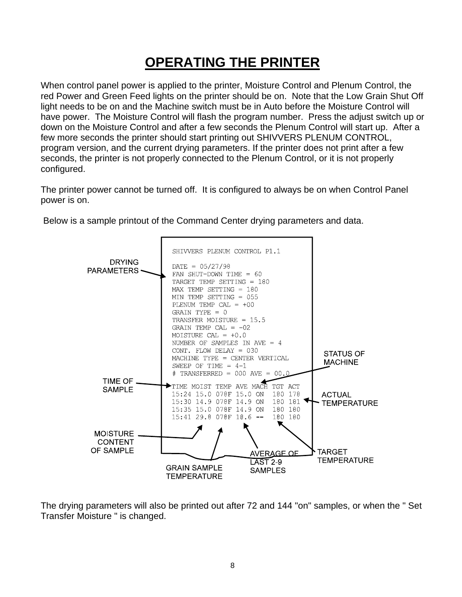# **OPERATING THE PRINTER**

When control panel power is applied to the printer, Moisture Control and Plenum Control, the red Power and Green Feed lights on the printer should be on. Note that the Low Grain Shut Off light needs to be on and the Machine switch must be in Auto before the Moisture Control will have power. The Moisture Control will flash the program number. Press the adjust switch up or down on the Moisture Control and after a few seconds the Plenum Control will start up. After a few more seconds the printer should start printing out SHIVVERS PLENUM CONTROL, program version, and the current drying parameters. If the printer does not print after a few seconds, the printer is not properly connected to the Plenum Control, or it is not properly configured.

The printer power cannot be turned off. It is configured to always be on when Control Panel power is on.



Below is a sample printout of the Command Center drying parameters and data.

The drying parameters will also be printed out after 72 and 144 "on" samples, or when the " Set Transfer Moisture " is changed.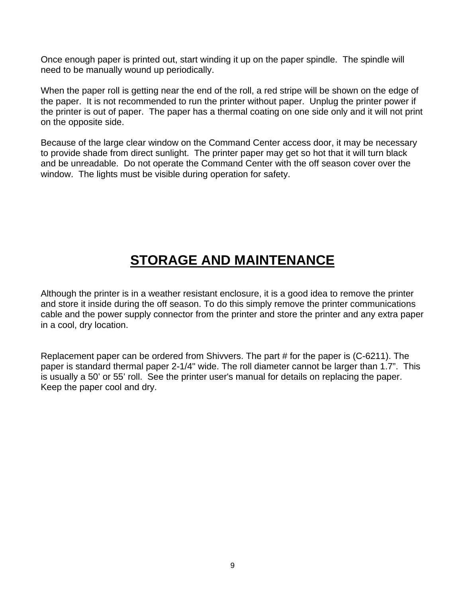Once enough paper is printed out, start winding it up on the paper spindle. The spindle will need to be manually wound up periodically.

When the paper roll is getting near the end of the roll, a red stripe will be shown on the edge of the paper. It is not recommended to run the printer without paper. Unplug the printer power if the printer is out of paper. The paper has a thermal coating on one side only and it will not print on the opposite side.

Because of the large clear window on the Command Center access door, it may be necessary to provide shade from direct sunlight. The printer paper may get so hot that it will turn black and be unreadable. Do not operate the Command Center with the off season cover over the window. The lights must be visible during operation for safety.

## **STORAGE AND MAINTENANCE**

Although the printer is in a weather resistant enclosure, it is a good idea to remove the printer and store it inside during the off season. To do this simply remove the printer communications cable and the power supply connector from the printer and store the printer and any extra paper in a cool, dry location.

Replacement paper can be ordered from Shivvers. The part # for the paper is (C-6211). The paper is standard thermal paper 2-1/4" wide. The roll diameter cannot be larger than 1.7". This is usually a 50' or 55' roll. See the printer user's manual for details on replacing the paper. Keep the paper cool and dry.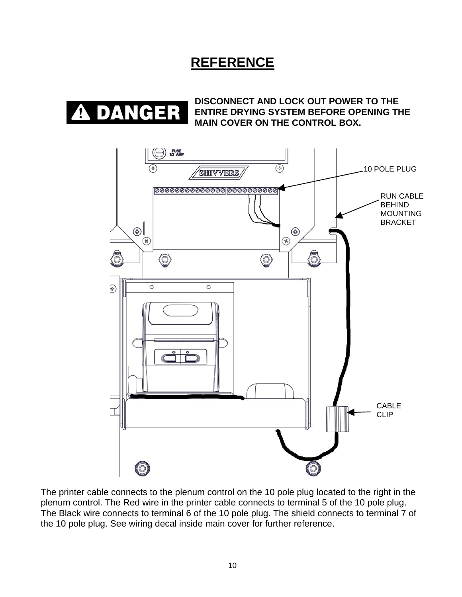#### **REFERENCE**



**DISCONNECT AND LOCK OUT POWER TO THE ENTIRE DRYING SYSTEM BEFORE OPENING THE MAIN COVER ON THE CONTROL BOX.** 



The printer cable connects to the plenum control on the 10 pole plug located to the right in the plenum control. The Red wire in the printer cable connects to terminal 5 of the 10 pole plug. The Black wire connects to terminal 6 of the 10 pole plug. The shield connects to terminal 7 of the 10 pole plug. See wiring decal inside main cover for further reference.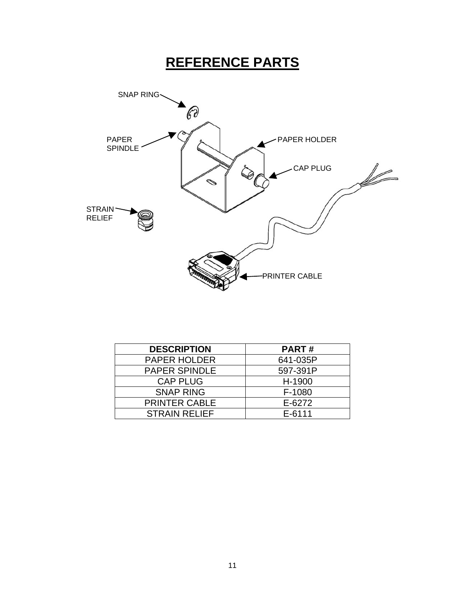# **REFERENCE PARTS**



| <b>DESCRIPTION</b>   | <b>PART#</b> |
|----------------------|--------------|
| <b>PAPER HOLDER</b>  | 641-035P     |
| PAPER SPINDLE        | 597-391P     |
| <b>CAP PLUG</b>      | H-1900       |
| <b>SNAP RING</b>     | F-1080       |
| <b>PRINTER CABLE</b> | E-6272       |
| <b>STRAIN RELIEF</b> | $E - 6111$   |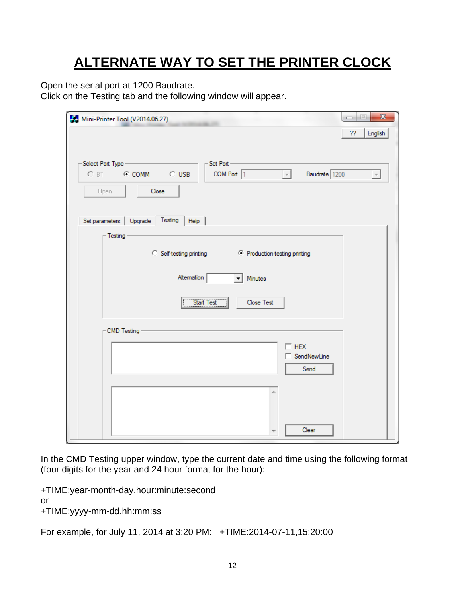# **ALTERNATE WAY TO SET THE PRINTER CLOCK**

Open the serial port at 1200 Baudrate.

Click on the Testing tab and the following window will appear.

| Mini-Printer Tool (V2014.06.27)                                                                                      | $\mathbf{x}$<br>e<br>U   |
|----------------------------------------------------------------------------------------------------------------------|--------------------------|
|                                                                                                                      | ??<br>English            |
| -Set Port-<br>Select Port Type<br>C BT C COMM C USB<br>COM Port $\boxed{1}$<br>$\vert \nabla \vert$<br>Baudrate 1200 | $\overline{\phantom{a}}$ |
| Open<br>Close                                                                                                        |                          |
| Set parameters   Upgrade Testing<br>Help                                                                             |                          |
| - Testing                                                                                                            |                          |
| C Self-testing printing (C Production-testing printing                                                               |                          |
| Altemation<br>Minutes<br>▾╎                                                                                          |                          |
|                                                                                                                      |                          |
| Start Test<br>Close Test                                                                                             |                          |
| CMD Testing                                                                                                          |                          |
| $\Box$ HEX<br>□ SendNewLine<br>Send                                                                                  |                          |
|                                                                                                                      |                          |
| À                                                                                                                    |                          |
| Clear                                                                                                                |                          |

In the CMD Testing upper window, type the current date and time using the following format (four digits for the year and 24 hour format for the hour):

+TIME:year-month-day,hour:minute:second or +TIME:yyyy-mm-dd,hh:mm:ss

For example, for July 11, 2014 at 3:20 PM: +TIME:2014-07-11,15:20:00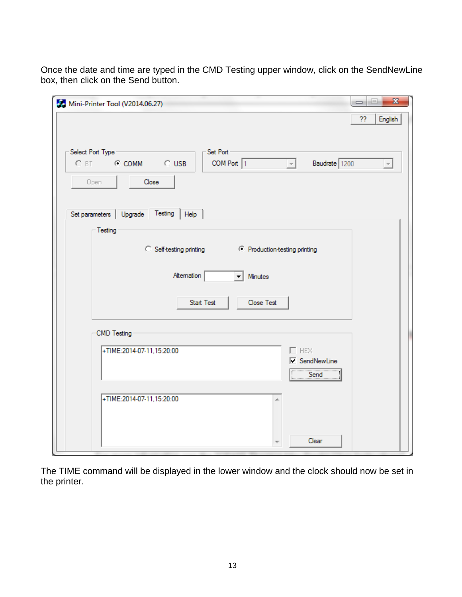Once the date and time are typed in the CMD Testing upper window, click on the SendNewLine box, then click on the Send button.

| Mini-Printer Tool (V2014.06.27)                                                                                               | $\overline{\mathbf{x}}$<br>i.<br>$\Box$ |
|-------------------------------------------------------------------------------------------------------------------------------|-----------------------------------------|
|                                                                                                                               | English<br>??                           |
| Select Port Type<br>Set Port<br>C BT C COMM C USB<br>COM Port 1<br>Baudrate 1200<br>$\overline{\mathcal{A}}$<br>Close<br>Open | $\overline{\nabla}$                     |
| Set parameters   Upgrade Testing<br> Heip                                                                                     |                                         |
| Testing-<br>C Self-testing printing (C Production-testing printing                                                            |                                         |
| Altemation<br>Minutes<br>▾╎                                                                                                   |                                         |
| <b>Start Test</b><br>Close Test                                                                                               |                                         |
| CMD Testing                                                                                                                   |                                         |
| $\square$ HEX<br>+TIME:2014-07-11,15:20:00<br><b>▽</b> SendNewLine<br>Send                                                    |                                         |
| +TIME:2014-07-11,15:20:00                                                                                                     |                                         |
| Clear                                                                                                                         |                                         |

The TIME command will be displayed in the lower window and the clock should now be set in the printer.